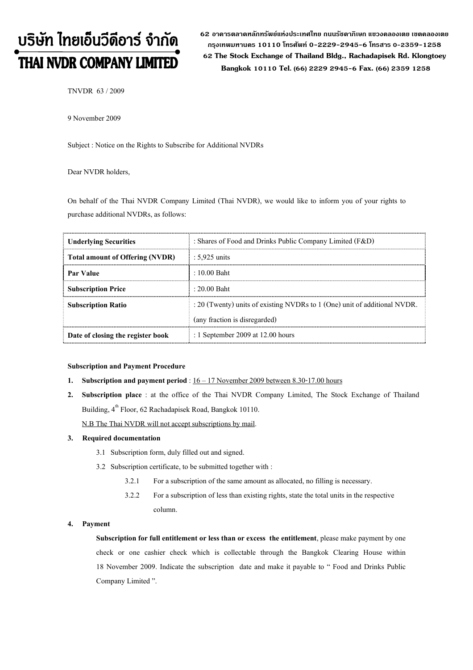# บริษัท ไทยเอ็นวีดีอาร์ จำกัด THAI NVDR COMPANY LIMITED

62 อาดารตลาดหลักทรัพย์แห่งประเทศไทย ถนนรัซดาภิเษก แขวงดลองเตย เขตดลองเตย กรงเทพมหานดร 10110 โทรศัพท์ 0-2229-2945-6 โทรสาร 0-2359-1258 62 The Stock Exchange of Thailand Bldg., Rachadapisek Rd. Klongtoey Bangkok 10110 Tel. (66) 2229 2945-6 Fax. (66) 2359 1258

TNVDR 63 / 2009

9 November 2009

Subject : Notice on the Rights to Subscribe for Additional NVDRs

Dear NVDR holders,

On behalf of the Thai NVDR Company Limited (Thai NVDR), we would like to inform you of your rights to purchase additional NVDRs, as follows:

| <b>Underlying Securities</b>           | : Shares of Food and Drinks Public Company Limited (F&D)                  |  |  |
|----------------------------------------|---------------------------------------------------------------------------|--|--|
| <b>Total amount of Offering (NVDR)</b> | $: 5.925$ units                                                           |  |  |
| <b>Par Value</b>                       | $\pm 10.00$ Baht                                                          |  |  |
| <b>Subscription Price</b>              | $\pm 20.00$ Baht                                                          |  |  |
| <b>Subscription Ratio</b>              | : 20 (Twenty) units of existing NVDRs to 1 (One) unit of additional NVDR. |  |  |
|                                        | (any fraction is disregarded)                                             |  |  |
| Date of closing the register book      | : 1 September 2009 at $12.00$ hours                                       |  |  |

### Subscription and Payment Procedure

- 1. Subscription and payment period :  $16 17$  November 2009 between 8.30-17.00 hours
- 2. Subscription place : at the office of the Thai NVDR Company Limited, The Stock Exchange of Thailand Building, 4<sup>th</sup> Floor, 62 Rachadapisek Road, Bangkok 10110.

N.B The Thai NVDR will not accept subscriptions by mail.

## 3. Required documentation

- 3.1 Subscription form, duly filled out and signed.
- 3.2 Subscription certificate, to be submitted together with :
	- 3.2.1 For a subscription of the same amount as allocated, no filling is necessary.
	- 3.2.2 For a subscription of less than existing rights, state the total units in the respective column.

#### 4. Payment

Subscription for full entitlement or less than or excess the entitlement, please make payment by one check or one cashier check which is collectable through the Bangkok Clearing House within 18 November 2009. Indicate the subscription date and make it payable to "Food and Drinks Public Company Limited".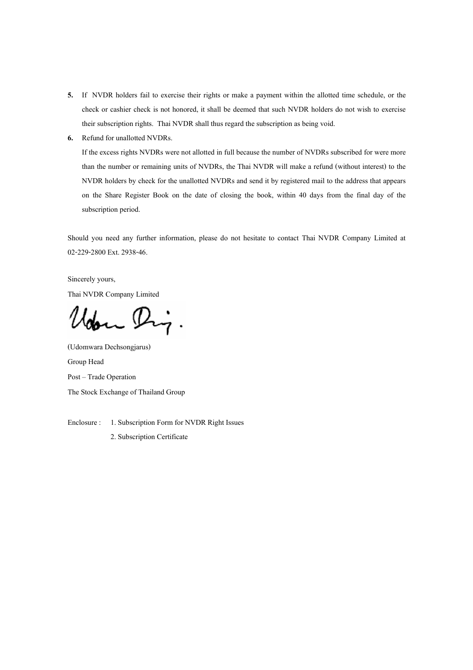- 5. If NVDR holders fail to exercise their rights or make a payment within the allotted time schedule, or the check or cashier check is not honored, it shall be deemed that such NVDR holders do not wish to exercise their subscription rights. Thai NVDR shall thus regard the subscription as being void.
- 6. Refund for unallotted NVDRs.

If the excess rights NVDRs were not allotted in full because the number of NVDRs subscribed for were more than the number or remaining units of NVDRs, the Thai NVDR will make a refund (without interest) to the NVDR holders by check for the unallotted NVDRs and send it by registered mail to the address that appears on the Share Register Book on the date of closing the book, within 40 days from the final day of the subscription period.

Should you need any further information, please do not hesitate to contact Thai NVDR Company Limited at 02-229-2800 Ext. 2938-46.

Sincerely yours, Thai NVDR Company Limited

 $\mathcal{P}_{\mathcal{P}}$ .

(Udomwara Dechsongjarus) Group Head Post - Trade Operation The Stock Exchange of Thailand Group

Enclosure : 1. Subscription Form for NVDR Right Issues 2. Subscription Certificate